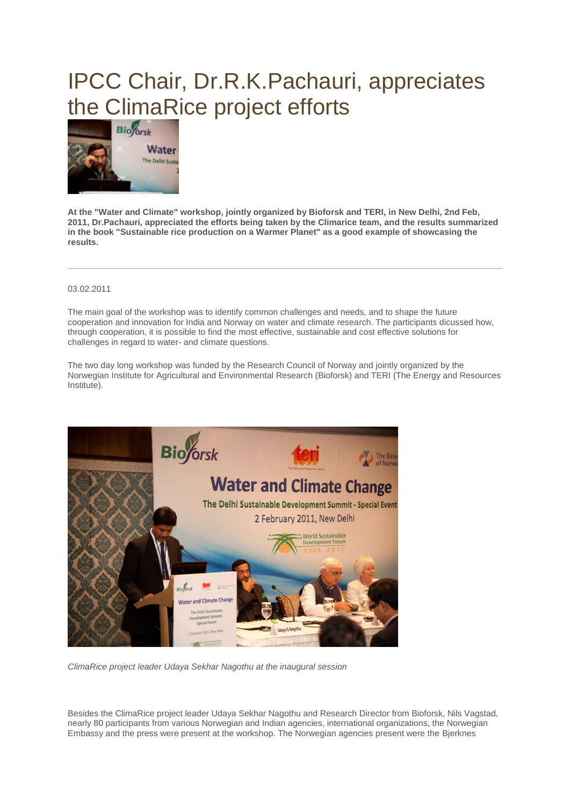## IPCC Chair, Dr.R.K.Pachauri, appreciates the ClimaRice project efforts



**At the "Water and Climate" workshop, jointly organized by Bioforsk and TERI, in New Delhi, 2nd Feb, 2011, Dr.Pachauri, appreciated the efforts being taken by the Climarice team, and the results summarized in the book "Sustainable rice production on a Warmer Planet" as a good example of showcasing the results.**

## 03.02.2011

The main goal of the workshop was to identify common challenges and needs, and to shape the future cooperation and innovation for India and Norway on water and climate research. The participants dicussed how, through cooperation, it is possible to find the most effective, sustainable and cost effective solutions for challenges in regard to water- and climate questions.

The two day long workshop was funded by the Research Council of Norway and jointly organized by the Norwegian Institute for Agricultural and Environmental Research (Bioforsk) and TERI (The Energy and Resources Institute).



*ClimaRice project leader Udaya Sekhar Nagothu at the inaugural session*

Besides the ClimaRice project leader Udaya Sekhar Nagothu and Research Director from Bioforsk, Nils Vagstad, nearly 80 participants from various Norwegian and Indian agencies, international organizations, the Norwegian Embassy and the press were present at the workshop. The Norwegian agencies present were the Bjerknes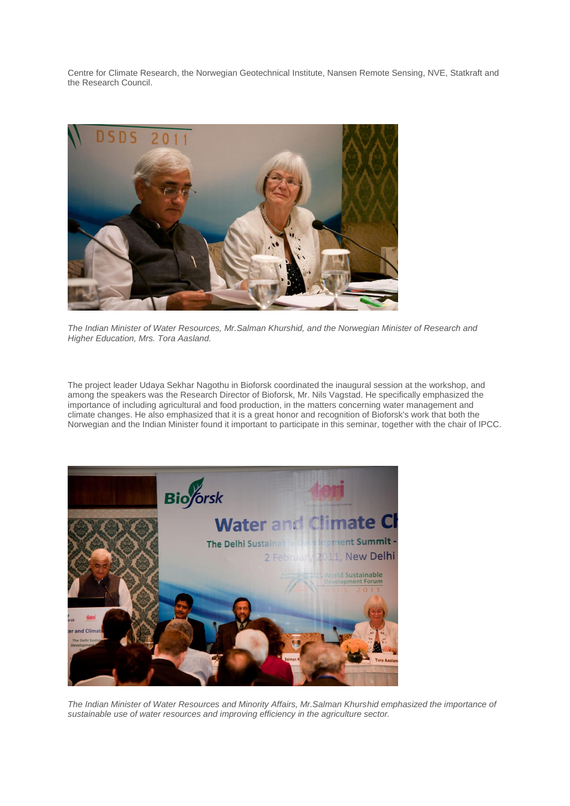Centre for Climate Research, the Norwegian Geotechnical Institute, Nansen Remote Sensing, NVE, Statkraft and the Research Council.



*The Indian Minister of Water Resources, Mr.Salman Khurshid, and the Norwegian Minister of Research and Higher Education, Mrs. Tora Aasland.*

The project leader Udaya Sekhar Nagothu in Bioforsk coordinated the inaugural session at the workshop, and among the speakers was the Research Director of Bioforsk, Mr. Nils Vagstad. He specifically emphasized the importance of including agricultural and food production, in the matters concerning water management and climate changes. He also emphasized that it is a great honor and recognition of Bioforsk's work that both the Norwegian and the Indian Minister found it important to participate in this seminar, together with the chair of IPCC.



*The Indian Minister of Water Resources and Minority Affairs, Mr.Salman Khurshid emphasized the importance of sustainable use of water resources and improving efficiency in the agriculture sector.*